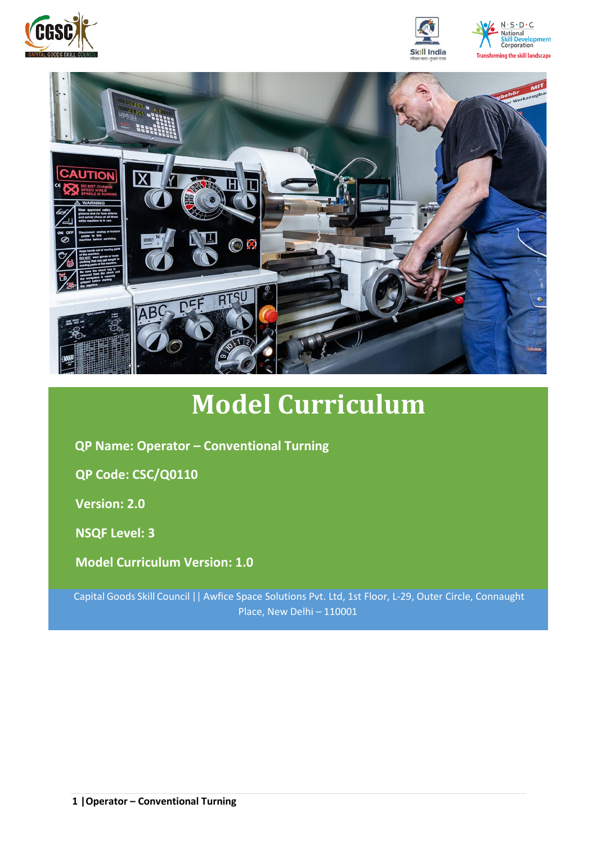





# **Model Curriculum**

**QP Name: Operator – Conventional Turning** 

**QP Code: CSC/Q0110**

**Version: 2.0**

**NSQF Level: 3**

**Model Curriculum Version: 1.0**

Capital Goods Skill Council || Awfice Space Solutions Pvt. Ltd, 1st Floor, L-29, Outer Circle, Connaught Place, New Delhi – 110001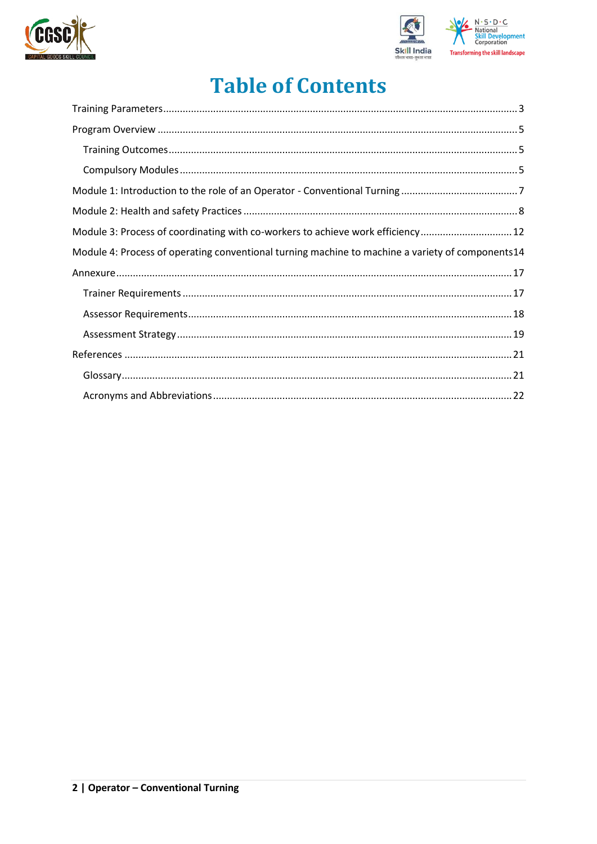



## **Table of Contents**

| Module 3: Process of coordinating with co-workers to achieve work efficiency 12                  |
|--------------------------------------------------------------------------------------------------|
| Module 4: Process of operating conventional turning machine to machine a variety of components14 |
|                                                                                                  |
|                                                                                                  |
|                                                                                                  |
|                                                                                                  |
|                                                                                                  |
|                                                                                                  |
|                                                                                                  |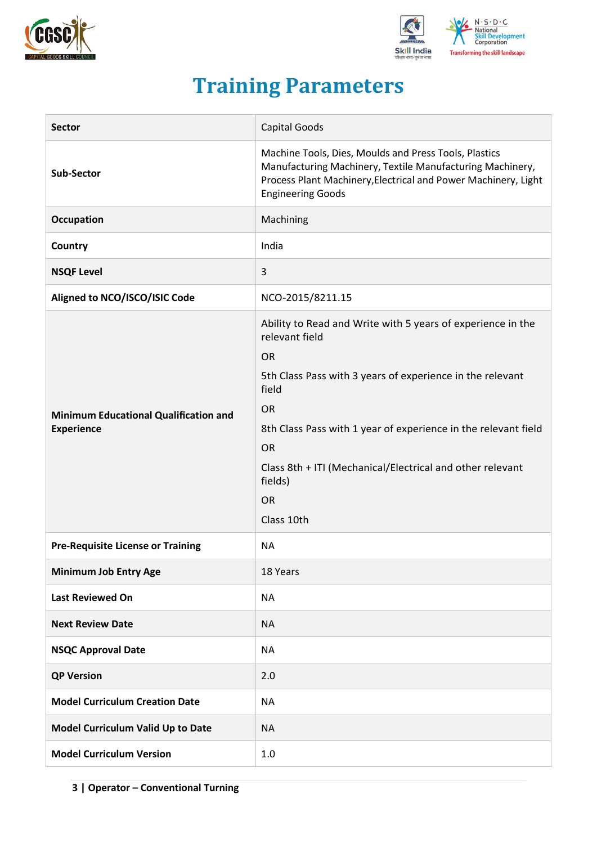



## **Training Parameters**

<span id="page-2-0"></span>

| <b>Sector</b>                                                     | Capital Goods                                                                                                                                                                                                                                                                                                                                                   |
|-------------------------------------------------------------------|-----------------------------------------------------------------------------------------------------------------------------------------------------------------------------------------------------------------------------------------------------------------------------------------------------------------------------------------------------------------|
| <b>Sub-Sector</b>                                                 | Machine Tools, Dies, Moulds and Press Tools, Plastics<br>Manufacturing Machinery, Textile Manufacturing Machinery,<br>Process Plant Machinery, Electrical and Power Machinery, Light<br><b>Engineering Goods</b>                                                                                                                                                |
| Occupation                                                        | Machining                                                                                                                                                                                                                                                                                                                                                       |
| Country                                                           | India                                                                                                                                                                                                                                                                                                                                                           |
| <b>NSQF Level</b>                                                 | 3                                                                                                                                                                                                                                                                                                                                                               |
| Aligned to NCO/ISCO/ISIC Code                                     | NCO-2015/8211.15                                                                                                                                                                                                                                                                                                                                                |
| <b>Minimum Educational Qualification and</b><br><b>Experience</b> | Ability to Read and Write with 5 years of experience in the<br>relevant field<br><b>OR</b><br>5th Class Pass with 3 years of experience in the relevant<br>field<br><b>OR</b><br>8th Class Pass with 1 year of experience in the relevant field<br><b>OR</b><br>Class 8th + ITI (Mechanical/Electrical and other relevant<br>fields)<br><b>OR</b><br>Class 10th |
| <b>Pre-Requisite License or Training</b>                          | <b>NA</b>                                                                                                                                                                                                                                                                                                                                                       |
| <b>Minimum Job Entry Age</b>                                      | 18 Years                                                                                                                                                                                                                                                                                                                                                        |
| <b>Last Reviewed On</b>                                           | <b>NA</b>                                                                                                                                                                                                                                                                                                                                                       |
| <b>Next Review Date</b>                                           | <b>NA</b>                                                                                                                                                                                                                                                                                                                                                       |
| <b>NSQC Approval Date</b>                                         | <b>NA</b>                                                                                                                                                                                                                                                                                                                                                       |
| <b>QP Version</b>                                                 | 2.0                                                                                                                                                                                                                                                                                                                                                             |
| <b>Model Curriculum Creation Date</b>                             | <b>NA</b>                                                                                                                                                                                                                                                                                                                                                       |
| Model Curriculum Valid Up to Date                                 | <b>NA</b>                                                                                                                                                                                                                                                                                                                                                       |
| <b>Model Curriculum Version</b>                                   | 1.0                                                                                                                                                                                                                                                                                                                                                             |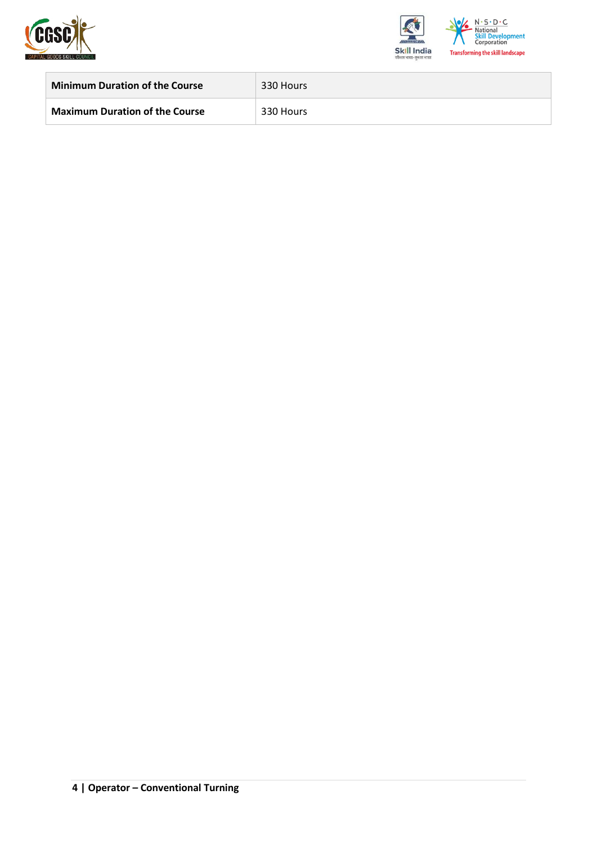



<span id="page-3-0"></span>

| <b>Minimum Duration of the Course</b> | 330 Hours |
|---------------------------------------|-----------|
| <b>Maximum Duration of the Course</b> | 330 Hours |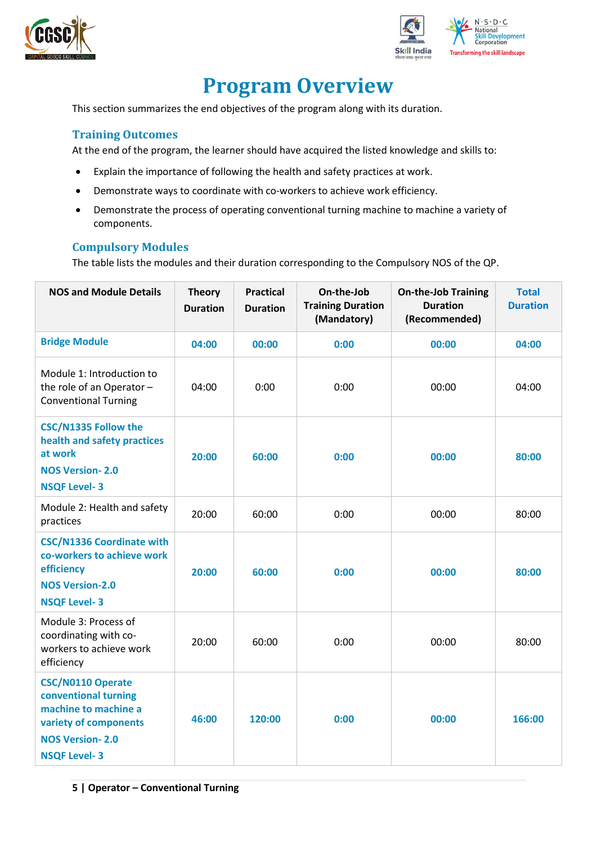



## **Program Overview**

This section summarizes the end objectives of the program along with its duration.

#### <span id="page-4-0"></span>**Training Outcomes**

At the end of the program, the learner should have acquired the listed knowledge and skills to:

- Explain the importance of following the health and safety practices at work.
- Demonstrate ways to coordinate with co-workers to achieve work efficiency.
- Demonstrate the process of operating conventional turning machine to machine a variety of components.

#### <span id="page-4-1"></span>**Compulsory Modules**

The table lists the modules and their duration corresponding to the Compulsory NOS of the QP.

| <b>NOS and Module Details</b>                                                                                                                      | <b>Theory</b><br><b>Duration</b> | <b>Practical</b><br><b>Duration</b> | On-the-Job<br><b>Training Duration</b><br>(Mandatory) | <b>On-the-Job Training</b><br><b>Duration</b><br>(Recommended) | <b>Total</b><br><b>Duration</b> |
|----------------------------------------------------------------------------------------------------------------------------------------------------|----------------------------------|-------------------------------------|-------------------------------------------------------|----------------------------------------------------------------|---------------------------------|
| <b>Bridge Module</b>                                                                                                                               | 04:00                            | 00:00                               | 0:00                                                  | 00:00                                                          | 04:00                           |
| Module 1: Introduction to<br>the role of an Operator-<br><b>Conventional Turning</b>                                                               | 04:00                            | 0:00                                | 0:00                                                  | 00:00                                                          | 04:00                           |
| <b>CSC/N1335 Follow the</b><br>health and safety practices<br>at work<br><b>NOS Version-2.0</b><br><b>NSQF Level-3</b>                             | 20:00                            | 60:00                               | 0:00                                                  | 00:00                                                          | 80:00                           |
| Module 2: Health and safety<br>practices                                                                                                           | 20:00                            | 60:00                               | 0:00                                                  | 00:00                                                          | 80:00                           |
| <b>CSC/N1336 Coordinate with</b><br>co-workers to achieve work<br>efficiency<br><b>NOS Version-2.0</b><br><b>NSQF Level-3</b>                      | 20:00                            | 60:00                               | 0:00                                                  | 00:00                                                          | 80:00                           |
| Module 3: Process of<br>coordinating with co-<br>workers to achieve work<br>efficiency                                                             | 20:00                            | 60:00                               | 0:00                                                  | 00:00                                                          | 80:00                           |
| <b>CSC/N0110 Operate</b><br>conventional turning<br>machine to machine a<br>variety of components<br><b>NOS Version-2.0</b><br><b>NSQF Level-3</b> | 46:00                            | 120:00                              | 0:00                                                  | 00:00                                                          | 166:00                          |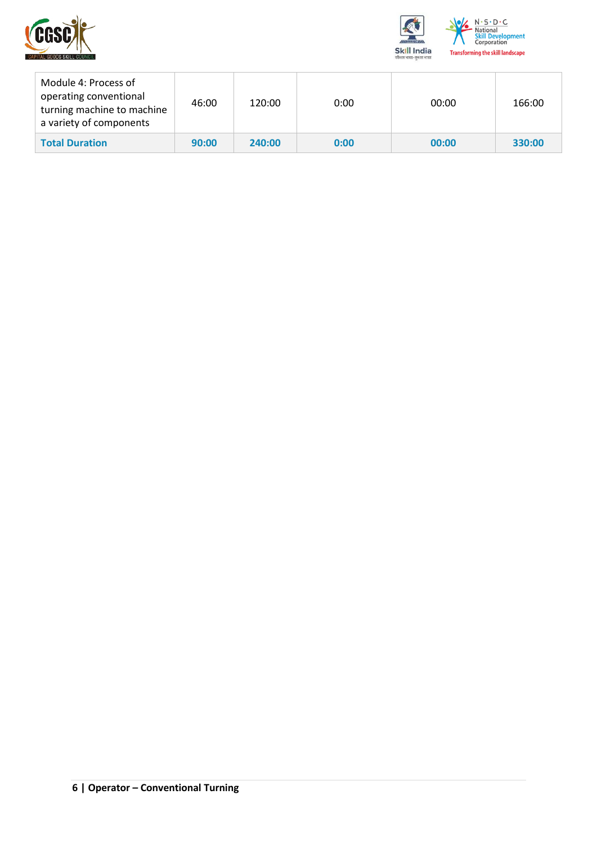



| Module 4: Process of<br>operating conventional<br>turning machine to machine<br>a variety of components | 46:00 | 120:00 | 0:00 | 00:00 | 166:00 |
|---------------------------------------------------------------------------------------------------------|-------|--------|------|-------|--------|
| <b>Total Duration</b>                                                                                   | 90:00 | 240:00 | 0:00 | 00:00 | 330:00 |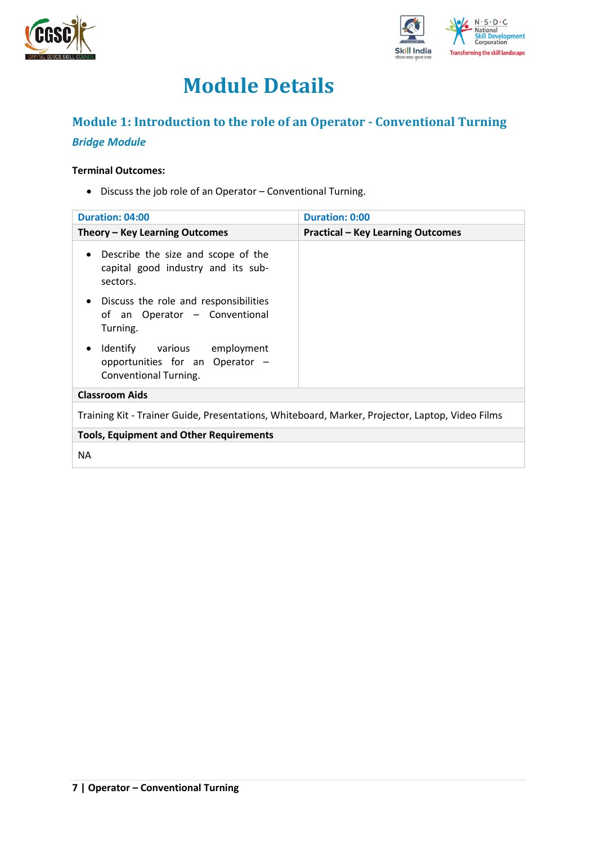



## **Module Details**

## <span id="page-6-0"></span>**Module 1: Introduction to the role of an Operator - Conventional Turning** *Bridge Module*

### **Terminal Outcomes:**

• Discuss the job role of an Operator – Conventional Turning.

| Duration: 04:00                                                                                      | <b>Duration: 0:00</b>                    |
|------------------------------------------------------------------------------------------------------|------------------------------------------|
| Theory – Key Learning Outcomes                                                                       | <b>Practical - Key Learning Outcomes</b> |
| Describe the size and scope of the<br>$\bullet$<br>capital good industry and its sub-<br>sectors.    |                                          |
| Discuss the role and responsibilities<br>$\bullet$<br>of an Operator - Conventional<br>Turning.      |                                          |
| Identify various employment<br>$\bullet$<br>opportunities for an Operator -<br>Conventional Turning. |                                          |
| <b>Classroom Aids</b>                                                                                |                                          |
| Training Kit - Trainer Guide, Presentations, Whiteboard, Marker, Projector, Laptop, Video Films      |                                          |
| <b>Tools, Equipment and Other Requirements</b>                                                       |                                          |
| <b>NA</b>                                                                                            |                                          |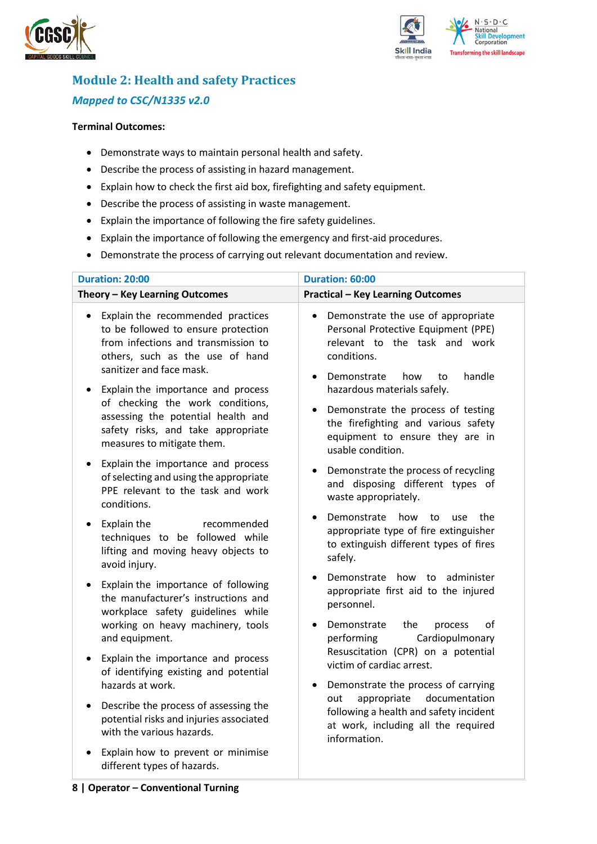



## <span id="page-7-0"></span>**Module 2: Health and safety Practices** *Mapped to CSC/N1335 v2.0*

#### **Terminal Outcomes:**

- Demonstrate ways to maintain personal health and safety.
- Describe the process of assisting in hazard management.
- Explain how to check the first aid box, firefighting and safety equipment.
- Describe the process of assisting in waste management.
- Explain the importance of following the fire safety guidelines.
- Explain the importance of following the emergency and first-aid procedures.
- Demonstrate the process of carrying out relevant documentation and review.

| <b>Duration: 20:00</b>                                                                                                                                                                      | Duration: 60:00                                                                                                                                                                           |  |  |  |
|---------------------------------------------------------------------------------------------------------------------------------------------------------------------------------------------|-------------------------------------------------------------------------------------------------------------------------------------------------------------------------------------------|--|--|--|
| Theory - Key Learning Outcomes                                                                                                                                                              | <b>Practical - Key Learning Outcomes</b>                                                                                                                                                  |  |  |  |
| Explain the recommended practices<br>$\bullet$<br>to be followed to ensure protection<br>from infections and transmission to<br>others, such as the use of hand<br>sanitizer and face mask. | Demonstrate the use of appropriate<br>$\bullet$<br>Personal Protective Equipment (PPE)<br>relevant to the task and work<br>conditions.<br>handle<br>Demonstrate<br>how<br>to<br>$\bullet$ |  |  |  |
| Explain the importance and process<br>of checking the work conditions,<br>assessing the potential health and<br>safety risks, and take appropriate<br>measures to mitigate them.            | hazardous materials safely.<br>Demonstrate the process of testing<br>$\bullet$<br>the firefighting and various safety<br>equipment to ensure they are in<br>usable condition.             |  |  |  |
| Explain the importance and process<br>$\bullet$<br>of selecting and using the appropriate<br>PPE relevant to the task and work<br>conditions.                                               | Demonstrate the process of recycling<br>and disposing different types of<br>waste appropriately.                                                                                          |  |  |  |
| Explain the<br>recommended<br>$\bullet$<br>techniques to be followed while<br>lifting and moving heavy objects to<br>avoid injury.                                                          | Demonstrate<br>how<br>the<br>to<br>use<br>appropriate type of fire extinguisher<br>to extinguish different types of fires<br>safely.                                                      |  |  |  |
| Explain the importance of following<br>$\bullet$<br>the manufacturer's instructions and<br>workplace safety guidelines while<br>working on heavy machinery, tools                           | Demonstrate how to administer<br>appropriate first aid to the injured<br>personnel.<br>of<br>Demonstrate<br>the<br>process                                                                |  |  |  |
| and equipment.<br>Explain the importance and process<br>$\bullet$<br>of identifying existing and potential<br>hazards at work.                                                              | Cardiopulmonary<br>performing<br>Resuscitation (CPR) on a potential<br>victim of cardiac arrest.<br>Demonstrate the process of carrying<br>$\bullet$                                      |  |  |  |
| Describe the process of assessing the<br>$\bullet$<br>potential risks and injuries associated<br>with the various hazards.                                                                  | appropriate<br>documentation<br>out<br>following a health and safety incident<br>at work, including all the required<br>information.                                                      |  |  |  |
| Explain how to prevent or minimise<br>different types of hazards.                                                                                                                           |                                                                                                                                                                                           |  |  |  |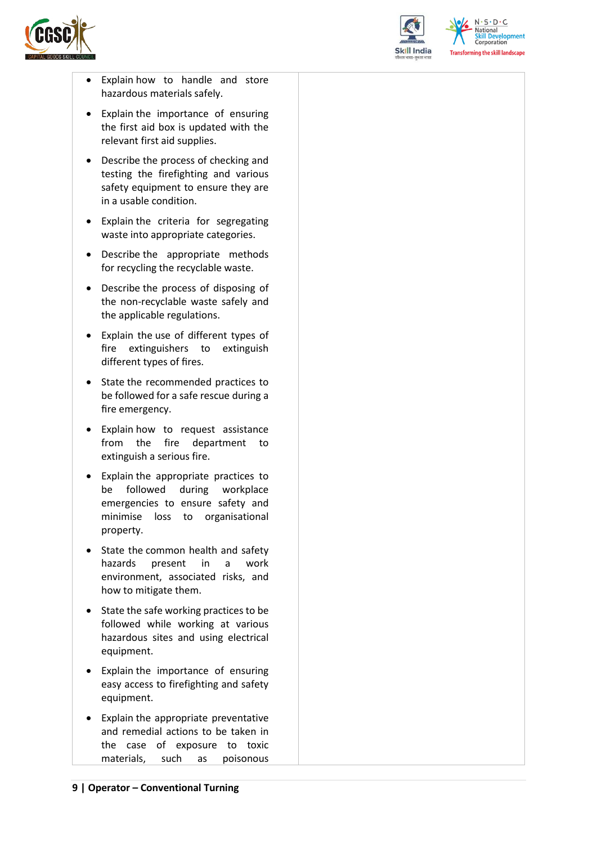



 $N.5.0.6$ **Skill Development**<br>Corporation **Transforming the skill landscape** 

- Explain how to handle and store hazardous materials safely.
- Explain the importance of ensuring the first aid box is updated with the relevant first aid supplies.
- Describe the process of checking and testing the firefighting and various safety equipment to ensure they are in a usable condition.
- Explain the criteria for segregating waste into appropriate categories.
- Describe the appropriate methods for recycling the recyclable waste.
- Describe the process of disposing of the non-recyclable waste safely and the applicable regulations.
- Explain the use of different types of fire extinguishers to extinguish different types of fires.
- State the recommended practices to be followed for a safe rescue during a fire emergency.
- Explain how to request assistance from the fire department to extinguish a serious fire.
- Explain the appropriate practices to be followed during workplace emergencies to ensure safety and minimise loss to organisational property.
- State the common health and safety hazards present in a work environment, associated risks, and how to mitigate them.
- State the safe working practices to be followed while working at various hazardous sites and using electrical equipment.
- Explain the importance of ensuring easy access to firefighting and safety equipment.
- Explain the appropriate preventative and remedial actions to be taken in the case of exposure to toxic materials, such as poisonous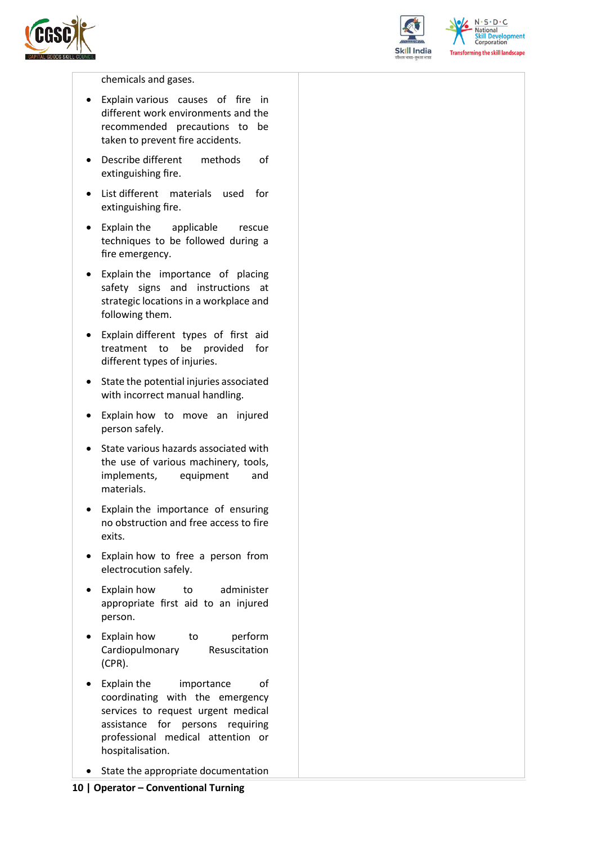



 $N \cdot S \cdot D \cdot C$ National **Skill Development**<br>Corporation **Transforming the skill landscape** 

chemicals and gases.

- Explain various causes of fire in different work environments and the recommended precautions to be taken to prevent fire accidents.
- Describe different methods of extinguishing fire.
- List different materials used for extinguishing fire.
- Explain the applicable rescue techniques to be followed during a fire emergency.
- Explain the importance of placing safety signs and instructions at strategic locations in a workplace and following them.
- Explain different types of first aid treatment to be provided for different types of injuries.
- State the potential injuries associated with incorrect manual handling.
- Explain how to move an injured person safely.
- State various hazards associated with the use of various machinery, tools, implements, equipment and materials.
- Explain the importance of ensuring no obstruction and free access to fire exits.
- Explain how to free a person from electrocution safely.
- Explain how to administer appropriate first aid to an injured person.
- Explain how to perform Cardiopulmonary Resuscitation (CPR).
- Explain the importance of coordinating with the emergency services to request urgent medical assistance for persons requiring professional medical attention or hospitalisation.
- State the appropriate documentation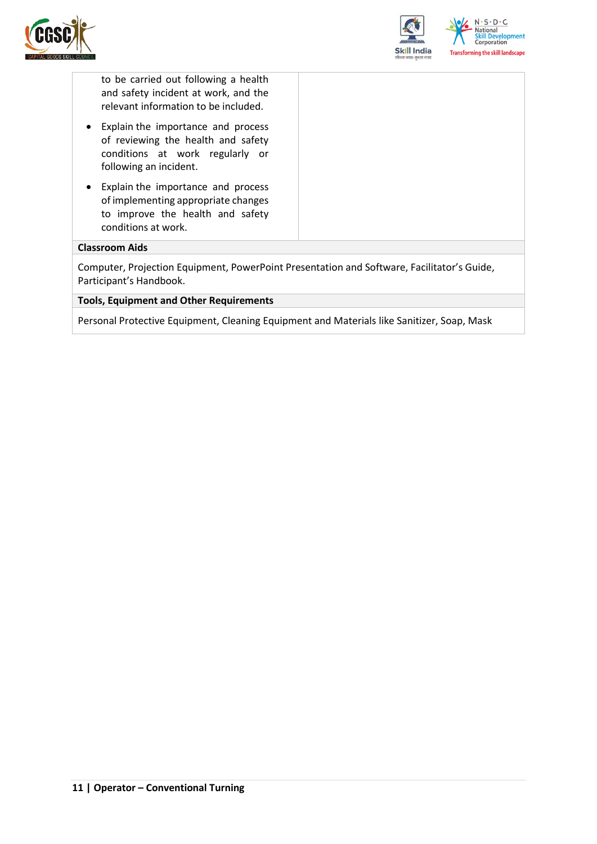



to be carried out following a health and safety incident at work, and the relevant information to be included.

- Explain the importance and process of reviewing the health and safety conditions at work regularly or following an incident.
- Explain the importance and process of implementing appropriate changes to improve the health and safety conditions at work.

#### **Classroom Aids**

Computer, Projection Equipment, PowerPoint Presentation and Software, Facilitator's Guide, Participant's Handbook.

#### **Tools, Equipment and Other Requirements**

Personal Protective Equipment, Cleaning Equipment and Materials like Sanitizer, Soap, Mask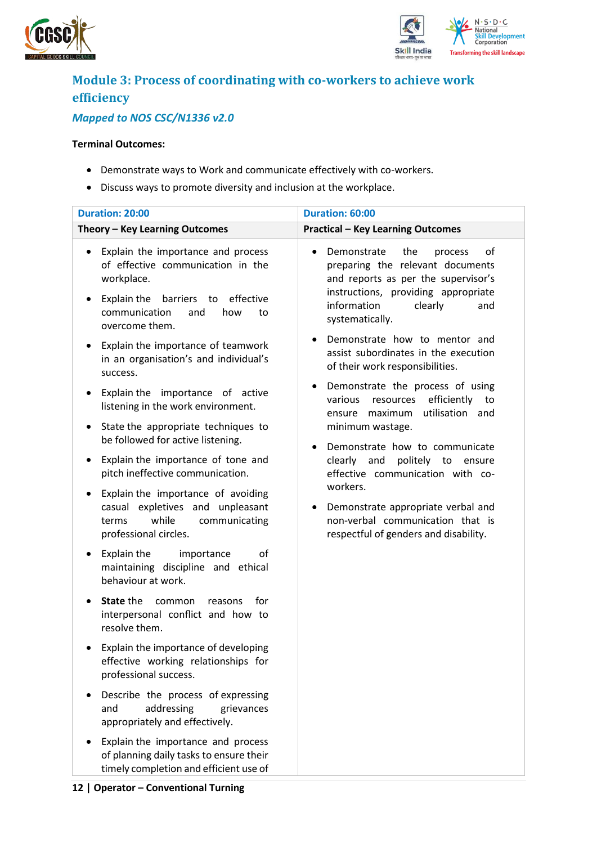



## <span id="page-11-0"></span>**Module 3: Process of coordinating with co-workers to achieve work efficiency**

### *Mapped to NOS CSC/N1336 v2.0*

#### **Terminal Outcomes:**

- Demonstrate ways to Work and communicate effectively with co-workers.
- Discuss ways to promote diversity and inclusion at the workplace.

| <b>Duration: 20:00</b>                                                                                                                                                                                                                                                                                            | Duration: 60:00                                                                                                                                                                                                                                                                                                       |  |  |  |
|-------------------------------------------------------------------------------------------------------------------------------------------------------------------------------------------------------------------------------------------------------------------------------------------------------------------|-----------------------------------------------------------------------------------------------------------------------------------------------------------------------------------------------------------------------------------------------------------------------------------------------------------------------|--|--|--|
| Theory - Key Learning Outcomes                                                                                                                                                                                                                                                                                    | <b>Practical - Key Learning Outcomes</b>                                                                                                                                                                                                                                                                              |  |  |  |
| Explain the importance and process<br>$\bullet$<br>of effective communication in the<br>workplace.<br>Explain the<br>barriers to<br>effective<br>٠<br>communication<br>how<br>and<br>to<br>overcome them.<br>Explain the importance of teamwork<br>$\bullet$<br>in an organisation's and individual's<br>success. | Demonstrate<br>the<br>of<br>process<br>preparing the relevant documents<br>and reports as per the supervisor's<br>instructions, providing appropriate<br>information<br>clearly<br>and<br>systematically.<br>Demonstrate how to mentor and<br>assist subordinates in the execution<br>of their work responsibilities. |  |  |  |
| Explain the importance of active<br>$\bullet$<br>listening in the work environment.<br>State the appropriate techniques to<br>٠<br>be followed for active listening.<br>Explain the importance of tone and<br>٠<br>pitch ineffective communication.                                                               | Demonstrate the process of using<br>٠<br>efficiently<br>various<br>resources<br>to<br>utilisation and<br>maximum<br>ensure<br>minimum wastage.<br>Demonstrate how to communicate<br>$\bullet$<br>clearly and<br>politely to ensure<br>effective communication with co-                                                |  |  |  |
| Explain the importance of avoiding<br>٠<br>casual expletives and unpleasant<br>while<br>communicating<br>terms<br>professional circles.                                                                                                                                                                           | workers.<br>Demonstrate appropriate verbal and<br>non-verbal communication that is<br>respectful of genders and disability.                                                                                                                                                                                           |  |  |  |
| Explain the<br>οf<br>importance<br>٠<br>maintaining discipline and ethical<br>behaviour at work.                                                                                                                                                                                                                  |                                                                                                                                                                                                                                                                                                                       |  |  |  |
| State the<br>common<br>for<br>reasons<br>$\bullet$<br>interpersonal conflict and how to<br>resolve them.                                                                                                                                                                                                          |                                                                                                                                                                                                                                                                                                                       |  |  |  |
| Explain the importance of developing<br>effective working relationships for<br>professional success.                                                                                                                                                                                                              |                                                                                                                                                                                                                                                                                                                       |  |  |  |
| Describe the process of expressing<br>addressing<br>and<br>grievances<br>appropriately and effectively.                                                                                                                                                                                                           |                                                                                                                                                                                                                                                                                                                       |  |  |  |
| Explain the importance and process<br>of planning daily tasks to ensure their<br>timely completion and efficient use of                                                                                                                                                                                           |                                                                                                                                                                                                                                                                                                                       |  |  |  |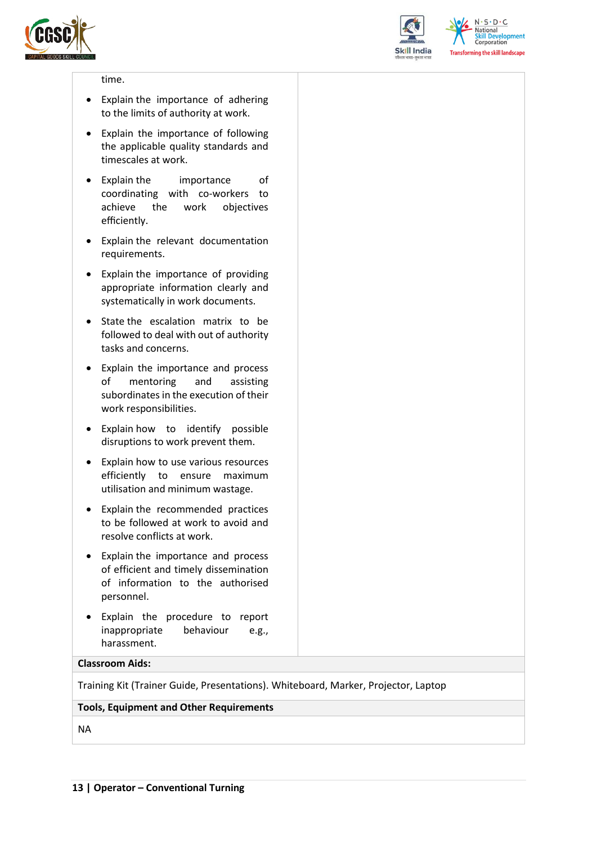



 $N.5.0.6$ **National Skill Development**<br>Corporation **Transforming the skill landscape** 

#### time.

- Explain the importance of adhering to the limits of authority at work.
- Explain the importance of following the applicable quality standards and timescales at work.
- Explain the importance of coordinating with co-workers to achieve the work objectives efficiently.
- Explain the relevant documentation requirements.
- Explain the importance of providing appropriate information clearly and systematically in work documents.
- State the escalation matrix to be followed to deal with out of authority tasks and concerns.
- Explain the importance and process of mentoring and assisting subordinates in the execution of their work responsibilities.
- Explain how to identify possible disruptions to work prevent them.
- Explain how to use various resources efficiently to ensure maximum utilisation and minimum wastage.
- Explain the recommended practices to be followed at work to avoid and resolve conflicts at work.
- Explain the importance and process of efficient and timely dissemination of information to the authorised personnel.
- Explain the procedure to report inappropriate behaviour e.g., harassment.

#### **Classroom Aids:**

Training Kit (Trainer Guide, Presentations). Whiteboard, Marker, Projector, Laptop

#### **Tools, Equipment and Other Requirements**

NA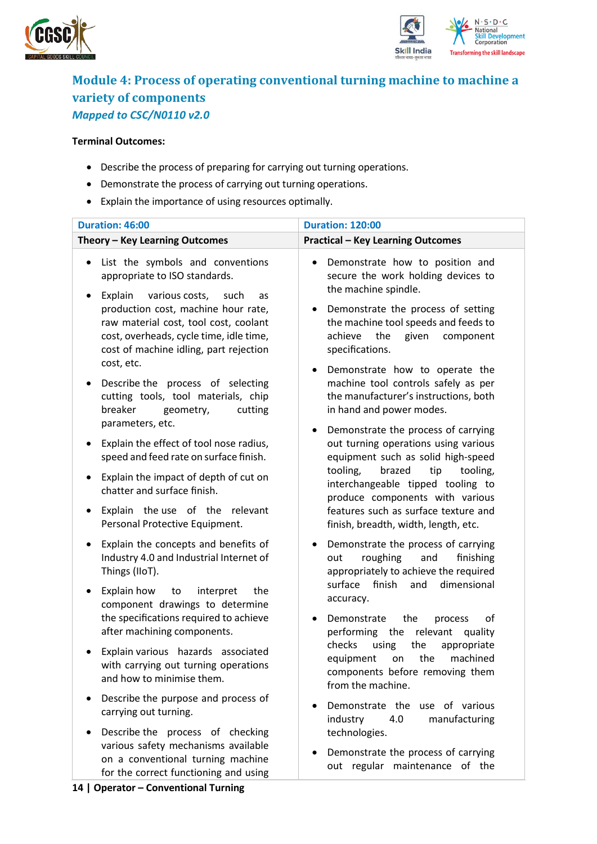



### <span id="page-13-0"></span>**Module 4: Process of operating conventional turning machine to machine a variety of components**  *Mapped to CSC/N0110 v2.0*

#### **Terminal Outcomes:**

- Describe the process of preparing for carrying out turning operations.
- Demonstrate the process of carrying out turning operations.
- Explain the importance of using resources optimally.

| <b>Duration: 46:00</b>                                                                                                                                                                                                                                                                                         | <b>Duration: 120:00</b>                                                                                                                                                                                                                |  |  |  |
|----------------------------------------------------------------------------------------------------------------------------------------------------------------------------------------------------------------------------------------------------------------------------------------------------------------|----------------------------------------------------------------------------------------------------------------------------------------------------------------------------------------------------------------------------------------|--|--|--|
| Theory - Key Learning Outcomes                                                                                                                                                                                                                                                                                 | <b>Practical - Key Learning Outcomes</b>                                                                                                                                                                                               |  |  |  |
| List the symbols and conventions<br>$\bullet$<br>appropriate to ISO standards.<br>Explain various costs,<br>such<br>as<br>٠<br>production cost, machine hour rate,<br>raw material cost, tool cost, coolant<br>cost, overheads, cycle time, idle time,<br>cost of machine idling, part rejection<br>cost, etc. | Demonstrate how to position and<br>secure the work holding devices to<br>the machine spindle.<br>Demonstrate the process of setting<br>the machine tool speeds and feeds to<br>achieve<br>the<br>given<br>component<br>specifications. |  |  |  |
| Describe the process of selecting<br>٠<br>cutting tools, tool materials, chip<br>breaker<br>geometry,<br>cutting<br>parameters, etc.                                                                                                                                                                           | Demonstrate how to operate the<br>machine tool controls safely as per<br>the manufacturer's instructions, both<br>in hand and power modes.                                                                                             |  |  |  |
| Explain the effect of tool nose radius,<br>٠<br>speed and feed rate on surface finish.                                                                                                                                                                                                                         | Demonstrate the process of carrying<br>out turning operations using various<br>equipment such as solid high-speed                                                                                                                      |  |  |  |
| Explain the impact of depth of cut on<br>٠<br>chatter and surface finish.                                                                                                                                                                                                                                      | tooling,<br>brazed<br>tip<br>tooling,<br>interchangeable tipped tooling to<br>produce components with various                                                                                                                          |  |  |  |
| Explain the use of the relevant<br>$\bullet$<br>Personal Protective Equipment.                                                                                                                                                                                                                                 | features such as surface texture and<br>finish, breadth, width, length, etc.                                                                                                                                                           |  |  |  |
| Explain the concepts and benefits of<br>٠<br>Industry 4.0 and Industrial Internet of<br>Things (IIoT).                                                                                                                                                                                                         | Demonstrate the process of carrying<br>roughing<br>and<br>finishing<br>out<br>appropriately to achieve the required<br>surface finish<br>and<br>dimensional                                                                            |  |  |  |
| Explain how<br>the<br>to<br>interpret<br>$\bullet$<br>component drawings to determine<br>the specifications required to achieve                                                                                                                                                                                | accuracy.<br>of<br>Demonstrate<br>the<br>process                                                                                                                                                                                       |  |  |  |
| after machining components.<br>Explain various hazards associated<br>with carrying out turning operations<br>and how to minimise them.                                                                                                                                                                         | performing the relevant<br>quality<br>checks<br>the<br>using<br>appropriate<br>machined<br>equipment<br>the<br>on<br>components before removing them<br>from the machine.                                                              |  |  |  |
| Describe the purpose and process of<br>٠<br>carrying out turning.<br>Describe the process of checking<br>$\bullet$                                                                                                                                                                                             | Demonstrate the use of various<br>industry<br>4.0<br>manufacturing<br>technologies.                                                                                                                                                    |  |  |  |
| various safety mechanisms available<br>on a conventional turning machine<br>for the correct functioning and using                                                                                                                                                                                              | Demonstrate the process of carrying<br>out regular maintenance of the                                                                                                                                                                  |  |  |  |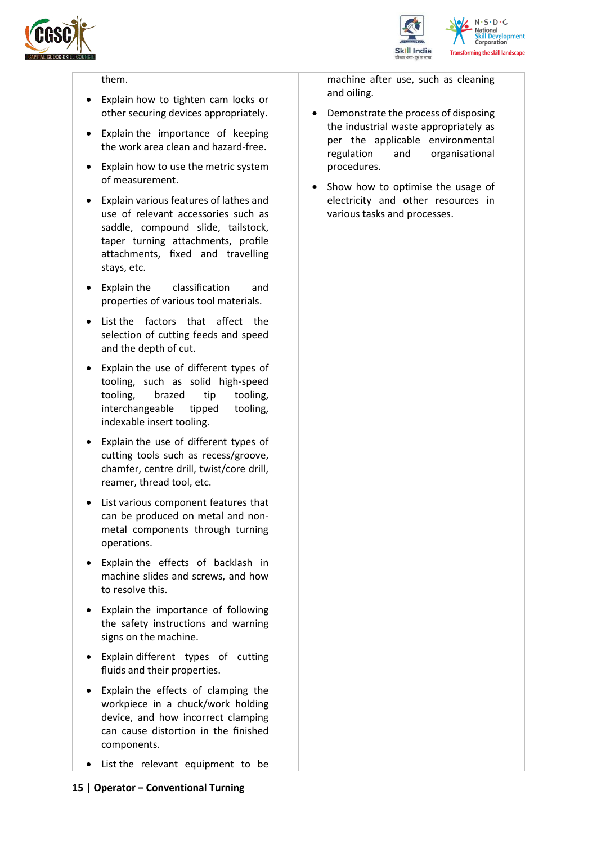



#### them.

- Explain how to tighten cam locks or other securing devices appropriately.
- Explain the importance of keeping the work area clean and hazard-free.
- Explain how to use the metric system of measurement.
- Explain various features of lathes and use of relevant accessories such as saddle, compound slide, tailstock, taper turning attachments, profile attachments, fixed and travelling stays, etc.
- Explain the classification and properties of various tool materials.
- List the factors that affect the selection of cutting feeds and speed and the depth of cut.
- Explain the use of different types of tooling, such as solid high-speed tooling, brazed tip tooling, interchangeable tipped tooling, indexable insert tooling.
- Explain the use of different types of cutting tools such as recess/groove, chamfer, centre drill, twist/core drill, reamer, thread tool, etc.
- List various component features that can be produced on metal and nonmetal components through turning operations.
- Explain the effects of backlash in machine slides and screws, and how to resolve this.
- Explain the importance of following the safety instructions and warning signs on the machine.
- Explain different types of cutting fluids and their properties.
- Explain the effects of clamping the workpiece in a chuck/work holding device, and how incorrect clamping can cause distortion in the finished components.
- List the relevant equipment to be

machine after use, such as cleaning and oiling.

- Demonstrate the process of disposing the industrial waste appropriately as per the applicable environmental regulation and organisational procedures.
- Show how to optimise the usage of electricity and other resources in various tasks and processes.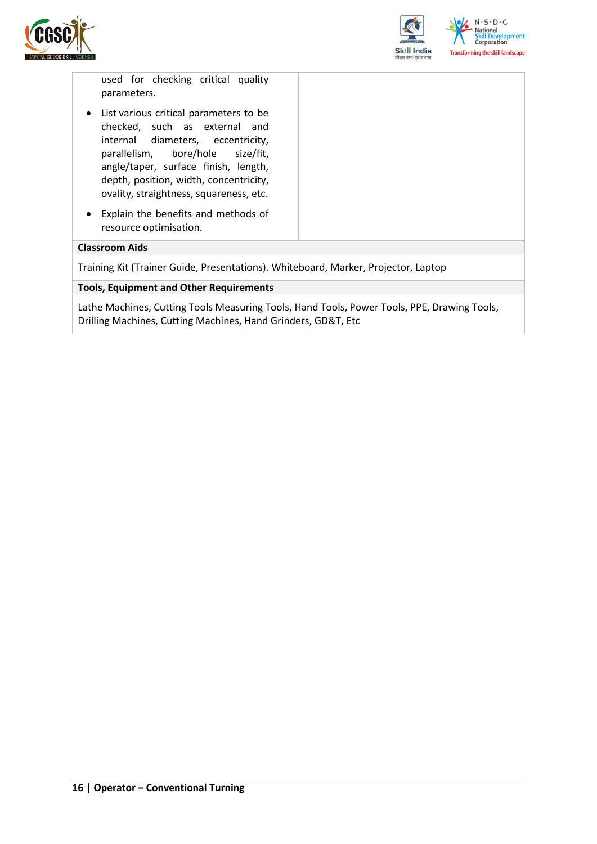



used for checking critical quality parameters.

- List various critical parameters to be checked, such as external and internal diameters, eccentricity, parallelism, bore/hole size/fit, angle/taper, surface finish, length, depth, position, width, concentricity, ovality, straightness, squareness, etc.
- Explain the benefits and methods of resource optimisation.

#### **Classroom Aids**

Training Kit (Trainer Guide, Presentations). Whiteboard, Marker, Projector, Laptop

**Tools, Equipment and Other Requirements** 

Lathe Machines, Cutting Tools Measuring Tools, Hand Tools, Power Tools, PPE, Drawing Tools, Drilling Machines, Cutting Machines, Hand Grinders, GD&T, Etc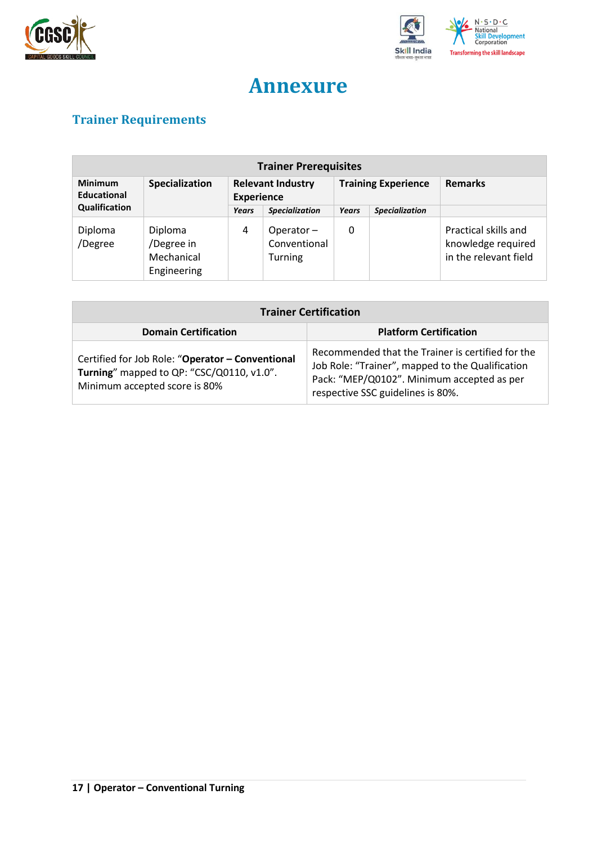



## **Annexure**

## <span id="page-16-1"></span><span id="page-16-0"></span>**Trainer Requirements**

| <b>Trainer Prerequisites</b>                    |                                                    |                                               |                                                |                            |                       |                                                                     |  |
|-------------------------------------------------|----------------------------------------------------|-----------------------------------------------|------------------------------------------------|----------------------------|-----------------------|---------------------------------------------------------------------|--|
| <b>Minimum</b><br>Specialization<br>Educational |                                                    | <b>Relevant Industry</b><br><b>Experience</b> |                                                | <b>Training Experience</b> |                       | <b>Remarks</b>                                                      |  |
| Qualification                                   |                                                    | Years                                         | <b>Specialization</b>                          | Years                      | <b>Specialization</b> |                                                                     |  |
| Diploma<br>/Degree                              | Diploma<br>/Degree in<br>Mechanical<br>Engineering | 4                                             | Operator $-$<br>Conventional<br><b>Turning</b> | 0                          |                       | Practical skills and<br>knowledge required<br>in the relevant field |  |

| <b>Trainer Certification</b>                                                                                                   |                                                                                                                                                                                          |  |  |  |  |
|--------------------------------------------------------------------------------------------------------------------------------|------------------------------------------------------------------------------------------------------------------------------------------------------------------------------------------|--|--|--|--|
| <b>Domain Certification</b>                                                                                                    | <b>Platform Certification</b>                                                                                                                                                            |  |  |  |  |
| Certified for Job Role: "Operator - Conventional<br>Turning" mapped to QP: "CSC/Q0110, v1.0".<br>Minimum accepted score is 80% | Recommended that the Trainer is certified for the<br>Job Role: "Trainer", mapped to the Qualification<br>Pack: "MEP/Q0102". Minimum accepted as per<br>respective SSC guidelines is 80%. |  |  |  |  |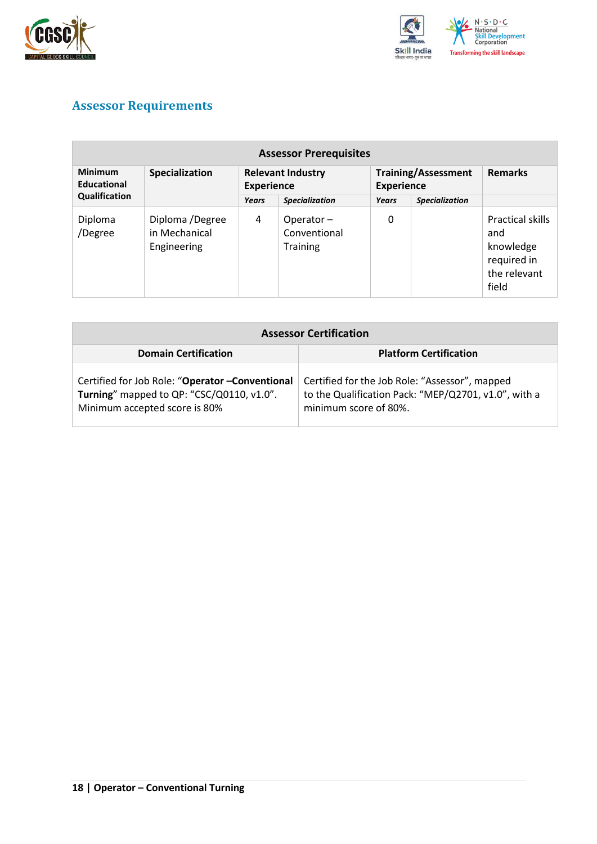



### <span id="page-17-0"></span>**Assessor Requirements**

| <b>Assessor Prerequisites</b> |                                                 |                                               |                                              |                                                 |                       |                                                                              |  |
|-------------------------------|-------------------------------------------------|-----------------------------------------------|----------------------------------------------|-------------------------------------------------|-----------------------|------------------------------------------------------------------------------|--|
| <b>Minimum</b><br>Educational | Specialization                                  | <b>Relevant Industry</b><br><b>Experience</b> |                                              | <b>Training/Assessment</b><br><b>Experience</b> |                       | <b>Remarks</b>                                                               |  |
| Qualification                 |                                                 | Years                                         | <b>Specialization</b>                        | Years                                           | <b>Specialization</b> |                                                                              |  |
| Diploma<br>/Degree            | Diploma /Degree<br>in Mechanical<br>Engineering | 4                                             | Operator-<br>Conventional<br><b>Training</b> | 0                                               |                       | Practical skills<br>and<br>knowledge<br>required in<br>the relevant<br>field |  |

| <b>Assessor Certification</b>                                                                                                  |                                                                                                                                 |
|--------------------------------------------------------------------------------------------------------------------------------|---------------------------------------------------------------------------------------------------------------------------------|
| <b>Domain Certification</b>                                                                                                    | <b>Platform Certification</b>                                                                                                   |
| Certified for Job Role: "Operator - Conventional<br>Turning" mapped to QP: "CSC/Q0110, v1.0".<br>Minimum accepted score is 80% | Certified for the Job Role: "Assessor", mapped<br>to the Qualification Pack: "MEP/Q2701, v1.0", with a<br>minimum score of 80%. |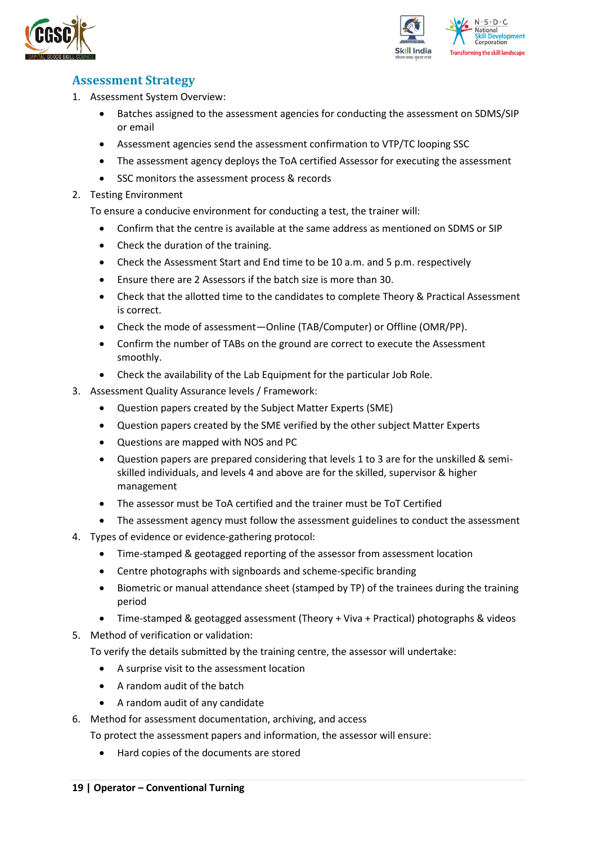



### <span id="page-18-0"></span>**Assessment Strategy**

- 1. Assessment System Overview:
	- Batches assigned to the assessment agencies for conducting the assessment on SDMS/SIP or email
	- Assessment agencies send the assessment confirmation to VTP/TC looping SSC
	- The assessment agency deploys the ToA certified Assessor for executing the assessment
	- SSC monitors the assessment process & records
- 2. Testing Environment

To ensure a conducive environment for conducting a test, the trainer will:

- Confirm that the centre is available at the same address as mentioned on SDMS or SIP
- Check the duration of the training.
- Check the Assessment Start and End time to be 10 a.m. and 5 p.m. respectively
- Ensure there are 2 Assessors if the batch size is more than 30.
- Check that the allotted time to the candidates to complete Theory & Practical Assessment is correct.
- Check the mode of assessment—Online (TAB/Computer) or Offline (OMR/PP).
- Confirm the number of TABs on the ground are correct to execute the Assessment smoothly.
- Check the availability of the Lab Equipment for the particular Job Role.
- 3. Assessment Quality Assurance levels / Framework:
	- Question papers created by the Subject Matter Experts (SME)
	- Question papers created by the SME verified by the other subject Matter Experts
	- Questions are mapped with NOS and PC
	- Question papers are prepared considering that levels 1 to 3 are for the unskilled & semiskilled individuals, and levels 4 and above are for the skilled, supervisor & higher management
	- The assessor must be ToA certified and the trainer must be ToT Certified
	- The assessment agency must follow the assessment guidelines to conduct the assessment
- 4. Types of evidence or evidence-gathering protocol:
	- Time-stamped & geotagged reporting of the assessor from assessment location
	- Centre photographs with signboards and scheme-specific branding
	- Biometric or manual attendance sheet (stamped by TP) of the trainees during the training period
	- Time-stamped & geotagged assessment (Theory + Viva + Practical) photographs & videos
- 5. Method of verification or validation:

To verify the details submitted by the training centre, the assessor will undertake:

- A surprise visit to the assessment location
- A random audit of the batch
- A random audit of any candidate
- 6. Method for assessment documentation, archiving, and access
	- To protect the assessment papers and information, the assessor will ensure:
		- Hard copies of the documents are stored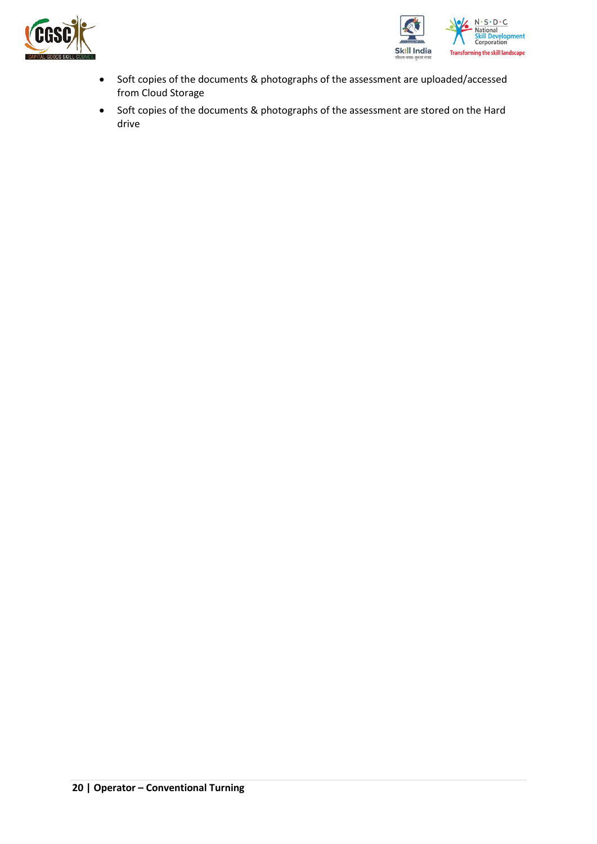



- Soft copies of the documents & photographs of the assessment are uploaded/accessed from Cloud Storage
- Soft copies of the documents & photographs of the assessment are stored on the Hard drive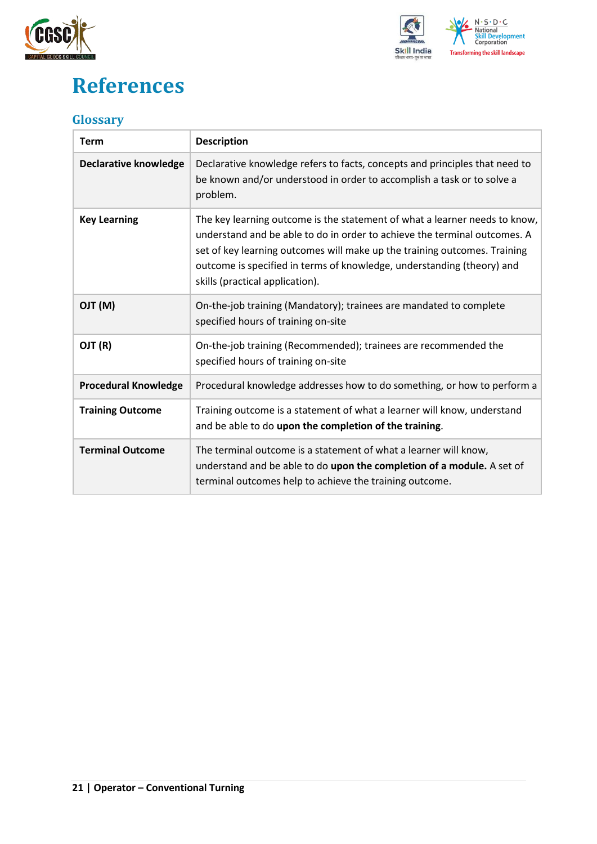



## <span id="page-20-0"></span>**References**

### <span id="page-20-1"></span>**Glossary**

| <b>Term</b>                  | <b>Description</b>                                                                                                                                                                                                                                                                                                                                |
|------------------------------|---------------------------------------------------------------------------------------------------------------------------------------------------------------------------------------------------------------------------------------------------------------------------------------------------------------------------------------------------|
| <b>Declarative knowledge</b> | Declarative knowledge refers to facts, concepts and principles that need to<br>be known and/or understood in order to accomplish a task or to solve a<br>problem.                                                                                                                                                                                 |
| <b>Key Learning</b>          | The key learning outcome is the statement of what a learner needs to know,<br>understand and be able to do in order to achieve the terminal outcomes. A<br>set of key learning outcomes will make up the training outcomes. Training<br>outcome is specified in terms of knowledge, understanding (theory) and<br>skills (practical application). |
| (M) TLO                      | On-the-job training (Mandatory); trainees are mandated to complete<br>specified hours of training on-site                                                                                                                                                                                                                                         |
| OJT (R)                      | On-the-job training (Recommended); trainees are recommended the<br>specified hours of training on-site                                                                                                                                                                                                                                            |
| <b>Procedural Knowledge</b>  | Procedural knowledge addresses how to do something, or how to perform a                                                                                                                                                                                                                                                                           |
| <b>Training Outcome</b>      | Training outcome is a statement of what a learner will know, understand<br>and be able to do upon the completion of the training.                                                                                                                                                                                                                 |
| <b>Terminal Outcome</b>      | The terminal outcome is a statement of what a learner will know,<br>understand and be able to do upon the completion of a module. A set of<br>terminal outcomes help to achieve the training outcome.                                                                                                                                             |